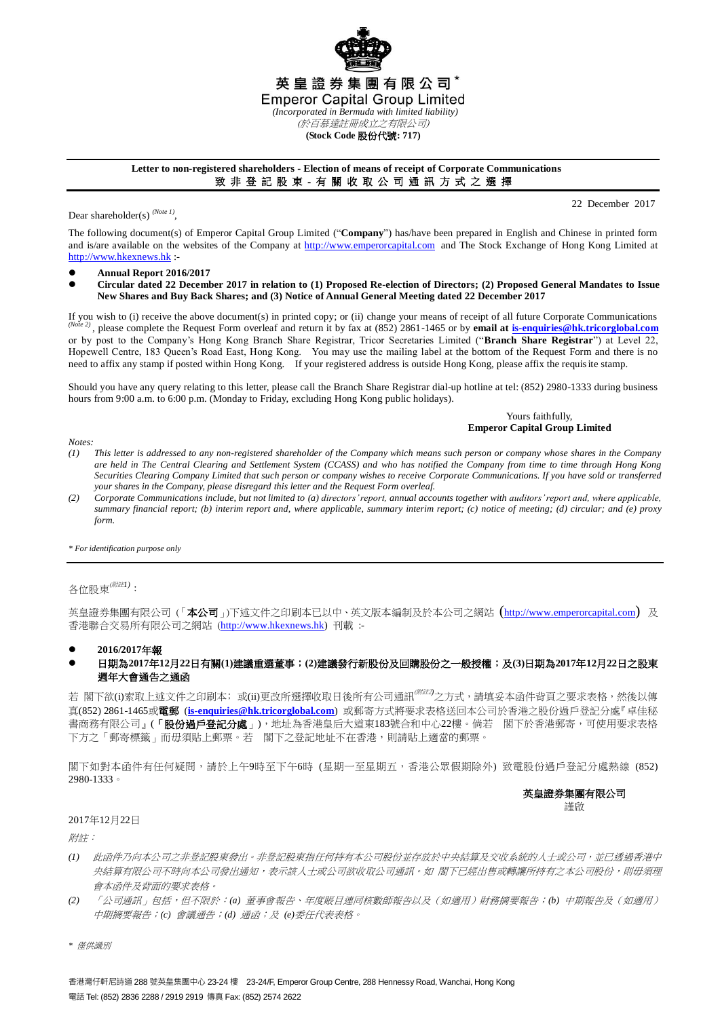

# **(Stock Code** 股份代號**: 717)**

## **Letter to non-registered shareholders - Election of means of receipt of Corporate Communications** 致 非 登 記 股 東 - 有 關 收 取 公 司 通 訊 方 式 之 選 擇

Dear shareholder(s)<sup>(Note 1)</sup>,

22 December 2017

The following document(s) of Emperor Capital Group Limited ("**Company**") has/have been prepared in English and Chinese in printed form and is/are available on the websites of the Company at [http://www.emperorcapital.com](http://www.emperorcapital.com/) and The Stock Exchange of Hong Kong Limited at [http://www.hkexnews.hk](http://www.hkexnews.hk/) :-

- **Annual Report 2016/2017**
- **Circular dated 22 December 2017 in relation to (1) Proposed Re-election of Directors; (2) Proposed General Mandates to Issue New Shares and Buy Back Shares; and (3) Notice of Annual General Meeting dated 22 December 2017**

If you wish to (i) receive the above document(s) in printed copy; or (ii) change your means of receipt of all future Corporate Communications *(Note 2)* , please complete the Request Form overleaf and return it by fax at (852) 2861-1465 or by **email at [is-enquiries@hk.tricorglobal.com](mailto:is-ecom@hk.tricorglobal.com)** or by post to the Company's Hong Kong Branch Share Registrar, Tricor Secretaries Limited ("**Branch Share Registrar**") at Level 22, Hopewell Centre, 183 Queen's Road East, Hong Kong. You may use the mailing label at the bottom of the Request Form and there is no need to affix any stamp if posted within Hong Kong. If your registered address is outside Hong Kong, please affix the requisite stamp.

Should you have any query relating to this letter, please call the Branch Share Registrar dial-up hotline at tel: (852) 2980-1333 during business hours from 9:00 a.m. to 6:00 p.m. (Monday to Friday, excluding Hong Kong public holidays).

> Yours faithfully, **Emperor Capital Group Limited**

*Notes:*

- *(1) This letter is addressed to any non-registered shareholder of the Company which means such person or company whose shares in the Company are held in The Central Clearing and Settlement System (CCASS) and who has notified the Company from time to time through Hong Kong Securities Clearing Company Limited that such person or company wishes to receive Corporate Communications. If you have sold or transferred your shares in the Company, please disregard this letter and the Request Form overleaf.*
- *(2) Corporate Communications include, but not limited to (a) directors' report, annual accounts together with auditors' report and, where applicable, summary financial report; (b) interim report and, where applicable, summary interim report; (c) notice of meeting; (d) circular; and (e) proxy form.*

*\* For identification purpose only*

# 各位股東(附註*1)*:

英皇證券集團有限公司(「本公司」)下述文件之印刷本已以中、英文版本編制及於本公司之網站 ([http://www.emperorcapital.com](http://www.emperorcapital.com/)) 及 香港聯合交易所有限公司之網站 ([http://www.hkexnews.hk\)](http://www.hkexnews.hk/) 刊載 :-

## **2016/2017**年報

# 日期為**2017**年**12**月**22**日有關**(1)**建議重選董事;**(2)**建議發行新股份及回購股份之一般授權;及**(3)**日期為**2017**年**12**月**22**日之股東 週年大會通告之通函

若 閣下欲(i)索取上述文件之印刷本;或(ii)更改所選擇收取日後所有公司通訊<sup>(##2)</sup>之方式,請填妥本函件背頁之要求表格,然後以傳 真(852) 2861-1465或電郵 (**[is-enquiries@hk.tricorglobal.com](mailto:is-ecom@hk.tricorglobal.com)**) 或郵寄方式將要求表格送回本公司於香港之股份過戶登記分處『卓佳秘 書商務有限公司』(「**股份過戶登記分處**」),地址為香港皇后大道東183號合和中心22樓。倘若 閣下於香港郵寄,可使用要求表格 下方之「郵寄標籤」而毋須貼上郵票。若 閣下之登記地址不在香港,則請貼上適當的郵票。

閣下如對本函件有任何疑問,請於上午9時至下午6時 (星期一至星期五,香港公眾假期除外) 致電股份過戶登記分處熱線 (852) 2980-1333。

# 英皇證券集團有限公司

謹啟

## 2017年12月22日

附註:

- *(1)* 此函件乃向本公司之非登記股東發出。非登記股東指任何持有本公司股份並存放於中央結算及交收系統的人士或公司,並已透過香港中 央結算有限公司不時向本公司發出通知,表示該人士或公司欲收取公司通訊。如 閣下已經出售或轉讓所持有之本公司股份,則毋須理 會本函件及背面的要求表格。
- *(2)* 「公司通訊」包括,但不限於:*(a)* 董事會報告、年度賬目連同核數師報告以及(如適用)財務摘要報告;*(b)* 中期報告及(如適用) 中期摘要報告;*(c)* 會議通告;*(d)* 通函;及 *(e)*委任代表表格。

*\** 僅供識別